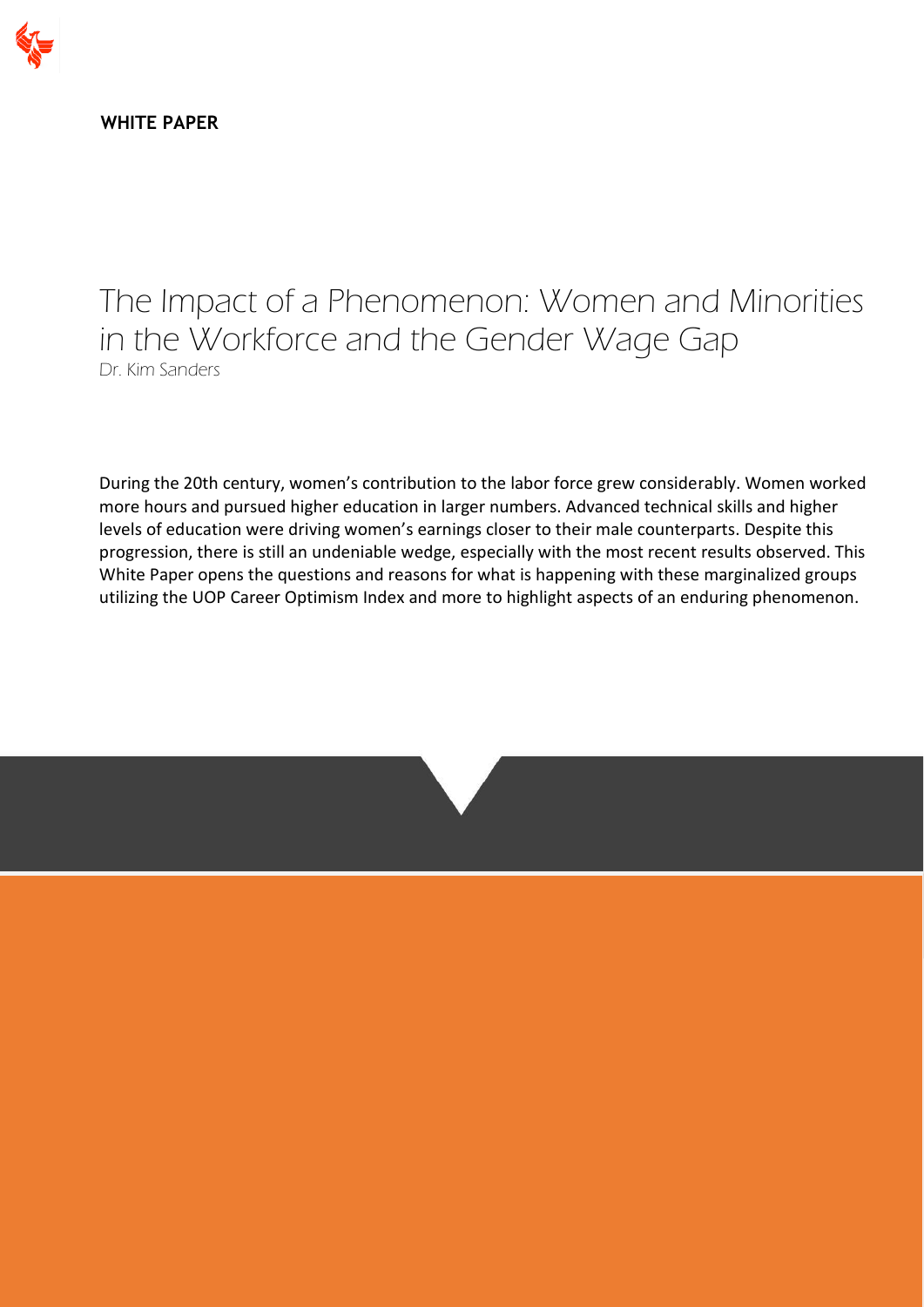

**WHITE PAPER**

The Impact of a Phenomenon: Women and Minorities in the Workforce and the Gender Wage Gap Dr. Kim Sanders

During the 20th century, women's contribution to the labor force grew considerably. Women worked more hours and pursued higher education in larger numbers. Advanced technical skills and higher levels of education were driving women's earnings closer to their male counterparts. Despite this progression, there is still an undeniable wedge, especially with the most recent results observed. This White Paper opens the questions and reasons for what is happening with these marginalized groups utilizing the UOP Career Optimism Index and more to highlight aspects of an enduring phenomenon.

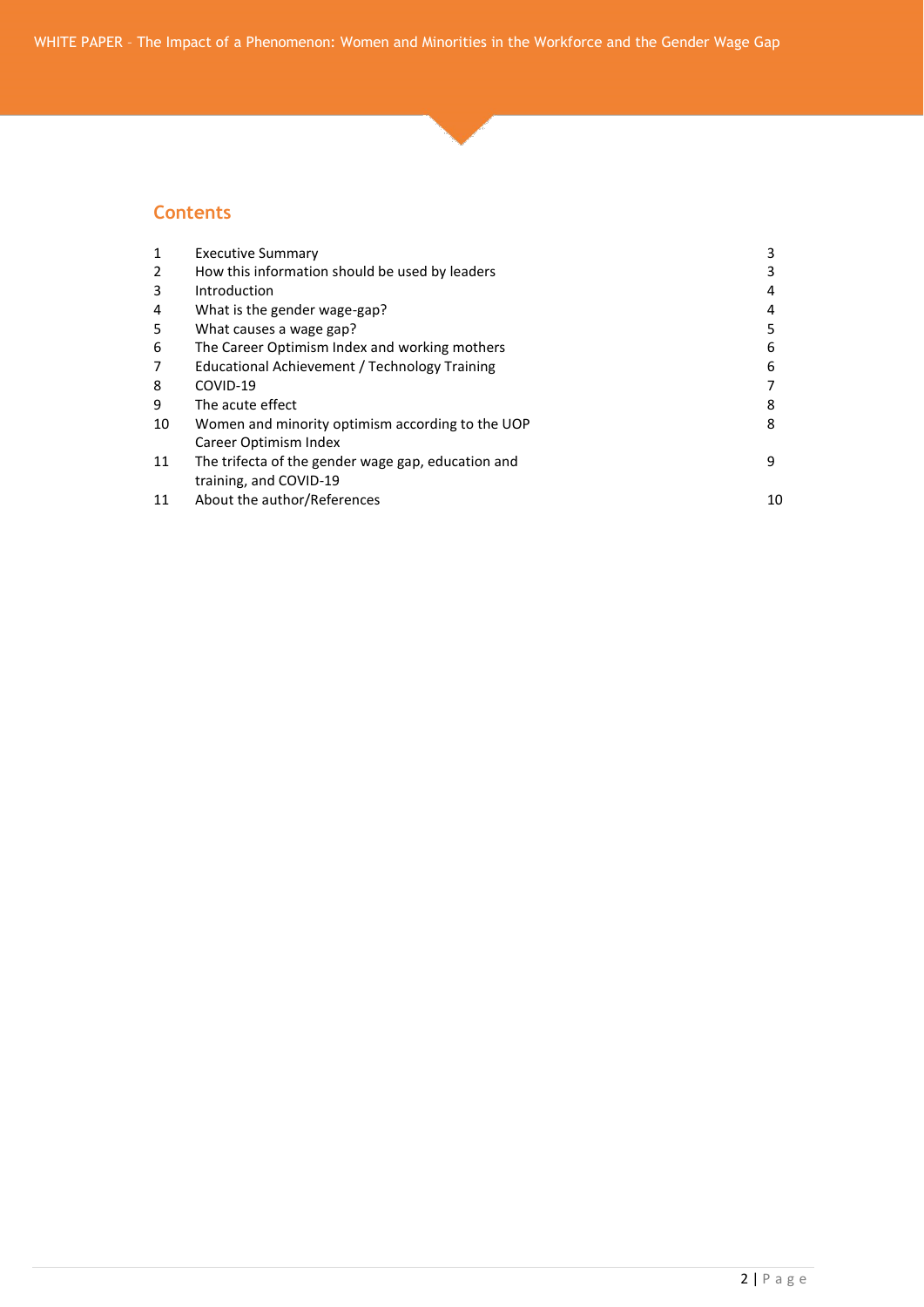#### **Contents**

| <b>Executive Summary</b>                             | 3  |
|------------------------------------------------------|----|
| How this information should be used by leaders       |    |
| Introduction                                         | 4  |
| What is the gender wage-gap?                         | 4  |
| What causes a wage gap?                              | 5  |
| The Career Optimism Index and working mothers        | 6  |
| <b>Educational Achievement / Technology Training</b> | 6  |
| COVID-19                                             |    |
| The acute effect                                     | 8  |
| Women and minority optimism according to the UOP     | 8  |
| Career Optimism Index                                |    |
| The trifecta of the gender wage gap, education and   | 9  |
| training, and COVID-19                               |    |
| About the author/References                          | 10 |
|                                                      |    |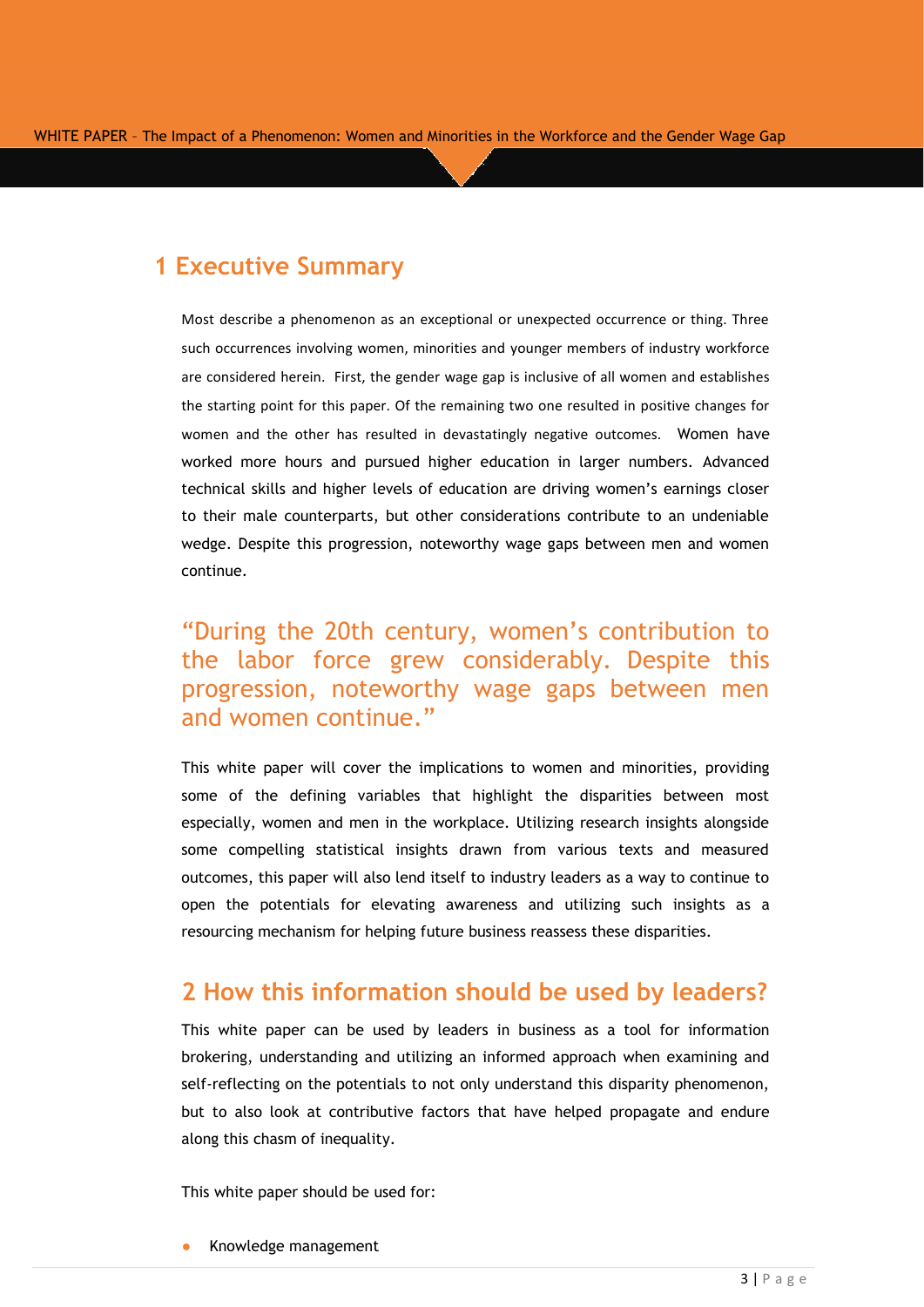### **1 Executive Summary**

Most describe a phenomenon as an exceptional or unexpected occurrence or thing. Three such occurrences involving women, minorities and younger members of industry workforce are considered herein. First, the gender wage gap is inclusive of all women and establishes the starting point for this paper. Of the remaining two one resulted in positive changes for women and the other has resulted in devastatingly negative outcomes. Women have worked more hours and pursued higher education in larger numbers. Advanced technical skills and higher levels of education are driving women's earnings closer to their male counterparts, but other considerations contribute to an undeniable wedge. Despite this progression, noteworthy wage gaps between men and women continue.

# "During the 20th century, women's contribution to the labor force grew considerably. Despite this progression, noteworthy wage gaps between men and women continue."

This white paper will cover the implications to women and minorities, providing some of the defining variables that highlight the disparities between most especially, women and men in the workplace. Utilizing research insights alongside some compelling statistical insights drawn from various texts and measured outcomes, this paper will also lend itself to industry leaders as a way to continue to open the potentials for elevating awareness and utilizing such insights as a resourcing mechanism for helping future business reassess these disparities.

#### **2 How this information should be used by leaders?**

This white paper can be used by leaders in business as a tool for information brokering, understanding and utilizing an informed approach when examining and self-reflecting on the potentials to not only understand this disparity phenomenon, but to also look at contributive factors that have helped propagate and endure along this chasm of inequality.

This white paper should be used for:

Knowledge management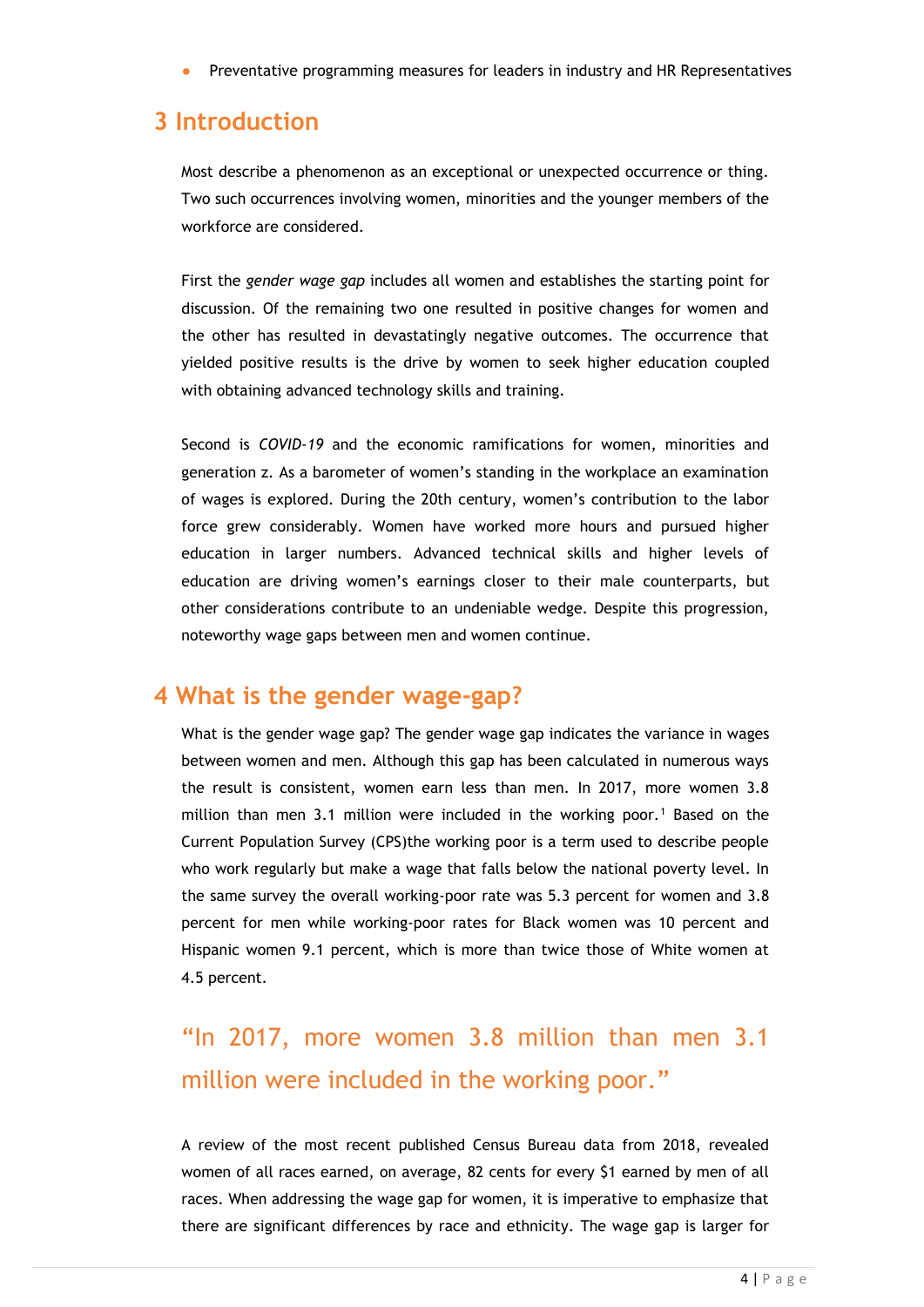Preventative programming measures for leaders in industry and HR Representatives

#### **3 Introduction**

Most describe a phenomenon as an exceptional or unexpected occurrence or thing. Two such occurrences involving women, minorities and the younger members of the workforce are considered.

First the *gender wage gap* includes all women and establishes the starting point for discussion. Of the remaining two one resulted in positive changes for women and the other has resulted in devastatingly negative outcomes. The occurrence that yielded positive results is the drive by women to seek higher education coupled with obtaining advanced technology skills and training.

Second is *COVID-19* and the economic ramifications for women, minorities and generation z. As a barometer of women's standing in the workplace an examination of wages is explored. During the 20th century, women's contribution to the labor force grew considerably. Women have worked more hours and pursued higher education in larger numbers. Advanced technical skills and higher levels of education are driving women's earnings closer to their male counterparts, but other considerations contribute to an undeniable wedge. Despite this progression, noteworthy wage gaps between men and women continue.

#### **4 What is the gender wage-gap?**

What is the gender wage gap? The gender wage gap indicates the variance in wages between women and men. Although this gap has been calculated in numerous ways the result is consistent, women earn less than men. In 2017, more women 3.8 million than men 3.1 million were included in the working poor.<sup>1</sup> Based on the Current Population Survey (CPS)the working poor is a term used to describe people who work regularly but make a wage that falls below the national poverty level. In the same survey the overall working-poor rate was 5.3 percent for women and 3.8 percent for men while working-poor rates for Black women was 10 percent and Hispanic women 9.1 percent, which is more than twice those of White women at 4.5 percent.

# "In 2017, more women 3.8 million than men 3.1 million were included in the working poor."

A review of the most recent published Census Bureau data from 2018, revealed women of all races earned, on average, 82 cents for every \$1 earned by men of all races. When addressing the wage gap for women, it is imperative to emphasize that there are significant differences by race and ethnicity. The wage gap is larger for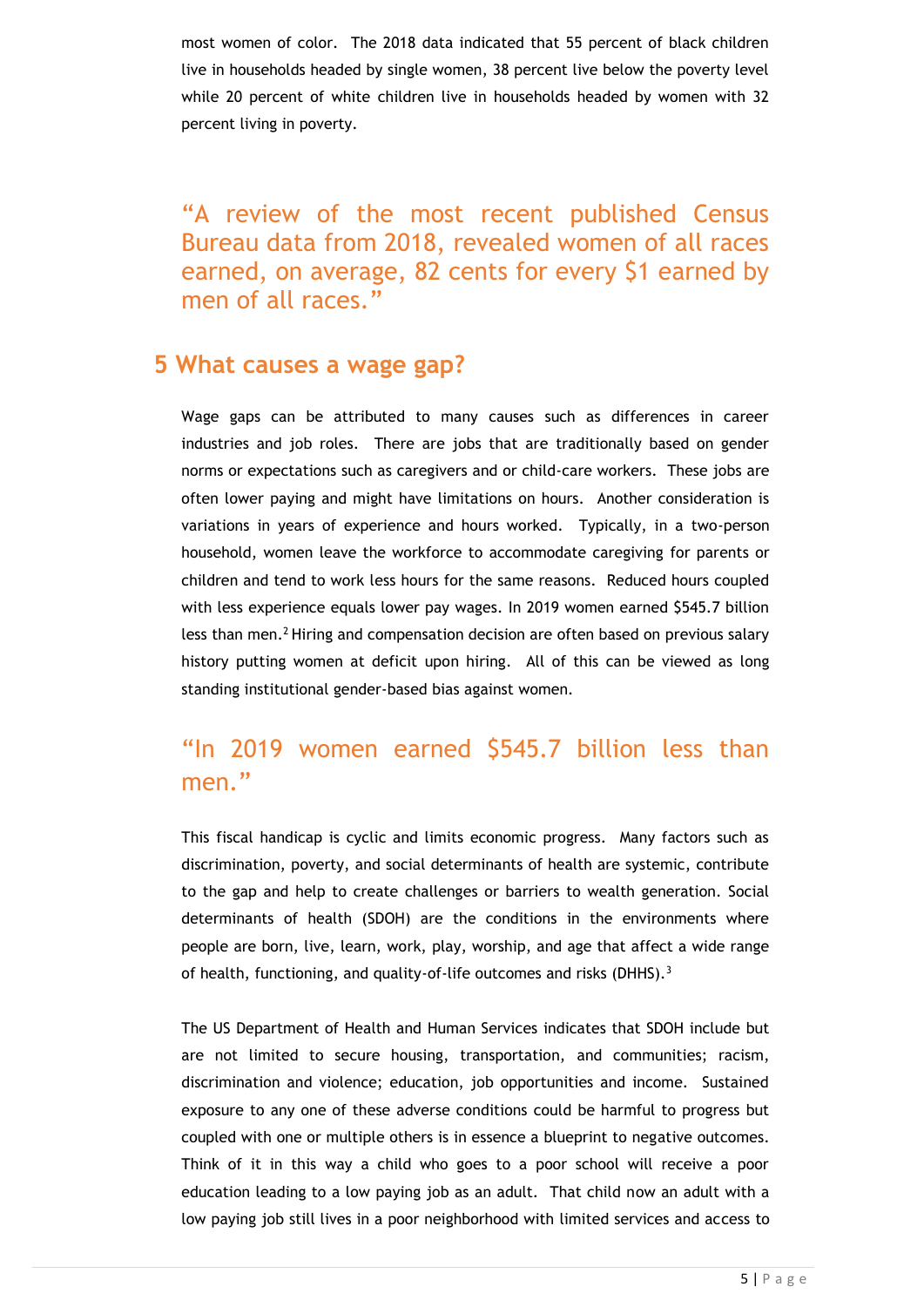most women of color. The 2018 data indicated that 55 percent of black children live in households headed by single women, 38 percent live below the poverty level while 20 percent of white children live in households headed by women with 32 percent living in poverty.

"A review of the most recent published Census Bureau data from 2018, revealed women of all races earned, on average, 82 cents for every \$1 earned by men of all races."

#### **5 What causes a wage gap?**

Wage gaps can be attributed to many causes such as differences in career industries and job roles. There are jobs that are traditionally based on gender norms or expectations such as caregivers and or child-care workers. These jobs are often lower paying and might have limitations on hours. Another consideration is variations in years of experience and hours worked. Typically, in a two-person household, women leave the workforce to accommodate caregiving for parents or children and tend to work less hours for the same reasons. Reduced hours coupled with less experience equals lower pay wages. In 2019 women earned \$545.7 billion less than men.<sup>2</sup> Hiring and compensation decision are often based on previous salary history putting women at deficit upon hiring. All of this can be viewed as long standing institutional gender-based bias against women.

# "In 2019 women earned \$545.7 billion less than men."

This fiscal handicap is cyclic and limits economic progress. Many factors such as discrimination, poverty, and social determinants of health are systemic, contribute to the gap and help to create challenges or barriers to wealth generation. Social determinants of health (SDOH) are the conditions in the environments where people are born, live, learn, work, play, worship, and age that affect a wide range of health, functioning, and quality-of-life outcomes and risks (DHHS).<sup>3</sup>

The US Department of Health and Human Services indicates that SDOH include but are not limited to secure housing, transportation, and communities; racism, discrimination and violence; education, job opportunities and income. Sustained exposure to any one of these adverse conditions could be harmful to progress but coupled with one or multiple others is in essence a blueprint to negative outcomes. Think of it in this way a child who goes to a poor school will receive a poor education leading to a low paying job as an adult. That child now an adult with a low paying job still lives in a poor neighborhood with limited services and access to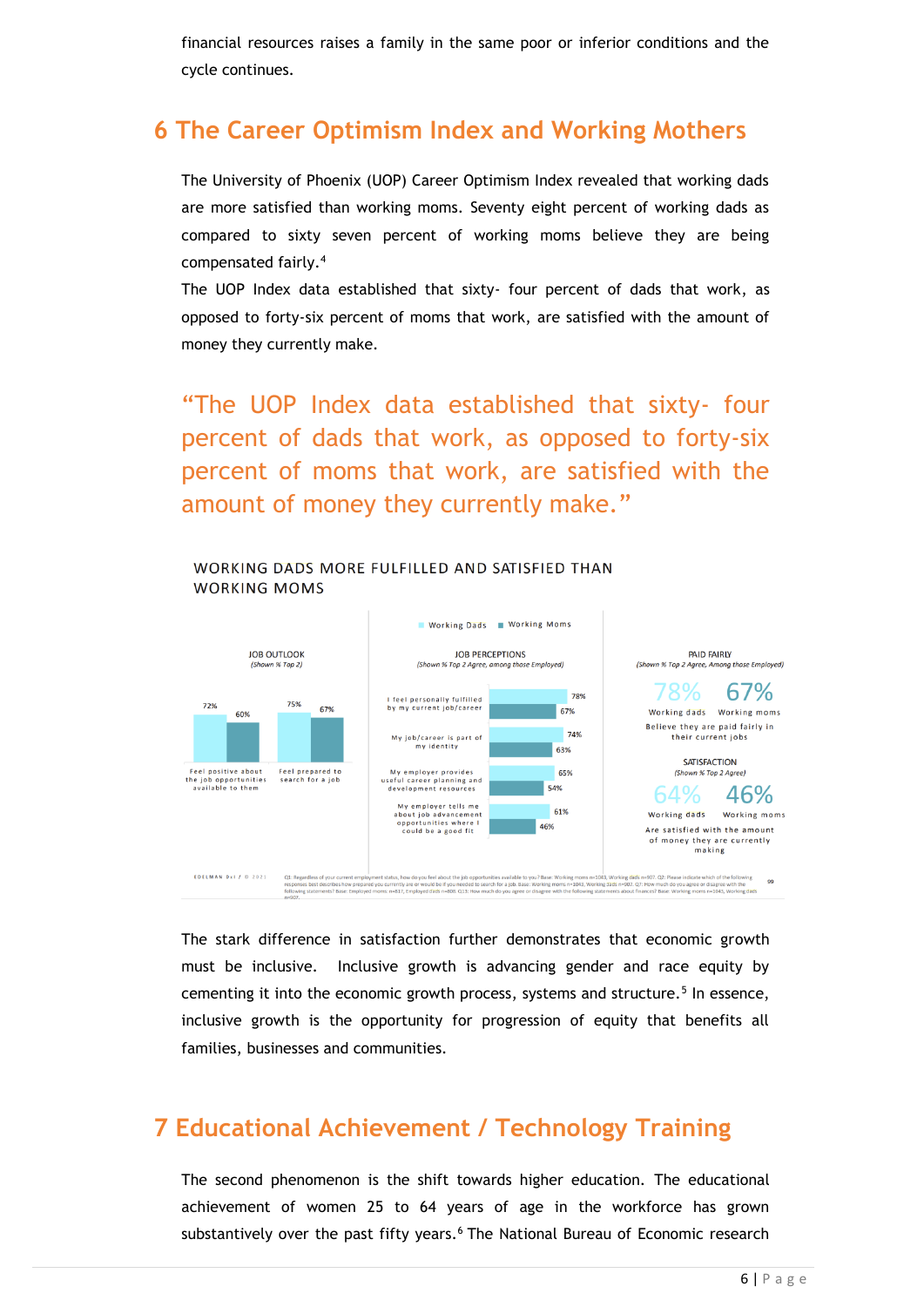financial resources raises a family in the same poor or inferior conditions and the cycle continues.

### **6 The Career Optimism Index and Working Mothers**

The University of Phoenix (UOP) Career Optimism Index revealed that working dads are more satisfied than working moms. Seventy eight percent of working dads as compared to sixty seven percent of working moms believe they are being compensated fairly.<sup>4</sup>

The UOP Index data established that sixty- four percent of dads that work, as opposed to forty-six percent of moms that work, are satisfied with the amount of money they currently make.

"The UOP Index data established that sixty- four percent of dads that work, as opposed to forty-six percent of moms that work, are satisfied with the amount of money they currently make."

WORKING DADS MORE FULFILLED AND SATISFIED THAN



The stark difference in satisfaction further demonstrates that economic growth must be inclusive. Inclusive growth is advancing gender and race equity by cementing it into the economic growth process, systems and structure.<sup>5</sup> In essence, inclusive growth is the opportunity for progression of equity that benefits all families, businesses and communities.

# **7 Educational Achievement / Technology Training**

The second phenomenon is the shift towards higher education. The educational achievement of women 25 to 64 years of age in the workforce has grown substantively over the past fifty years.<sup>6</sup> The National Bureau of Economic research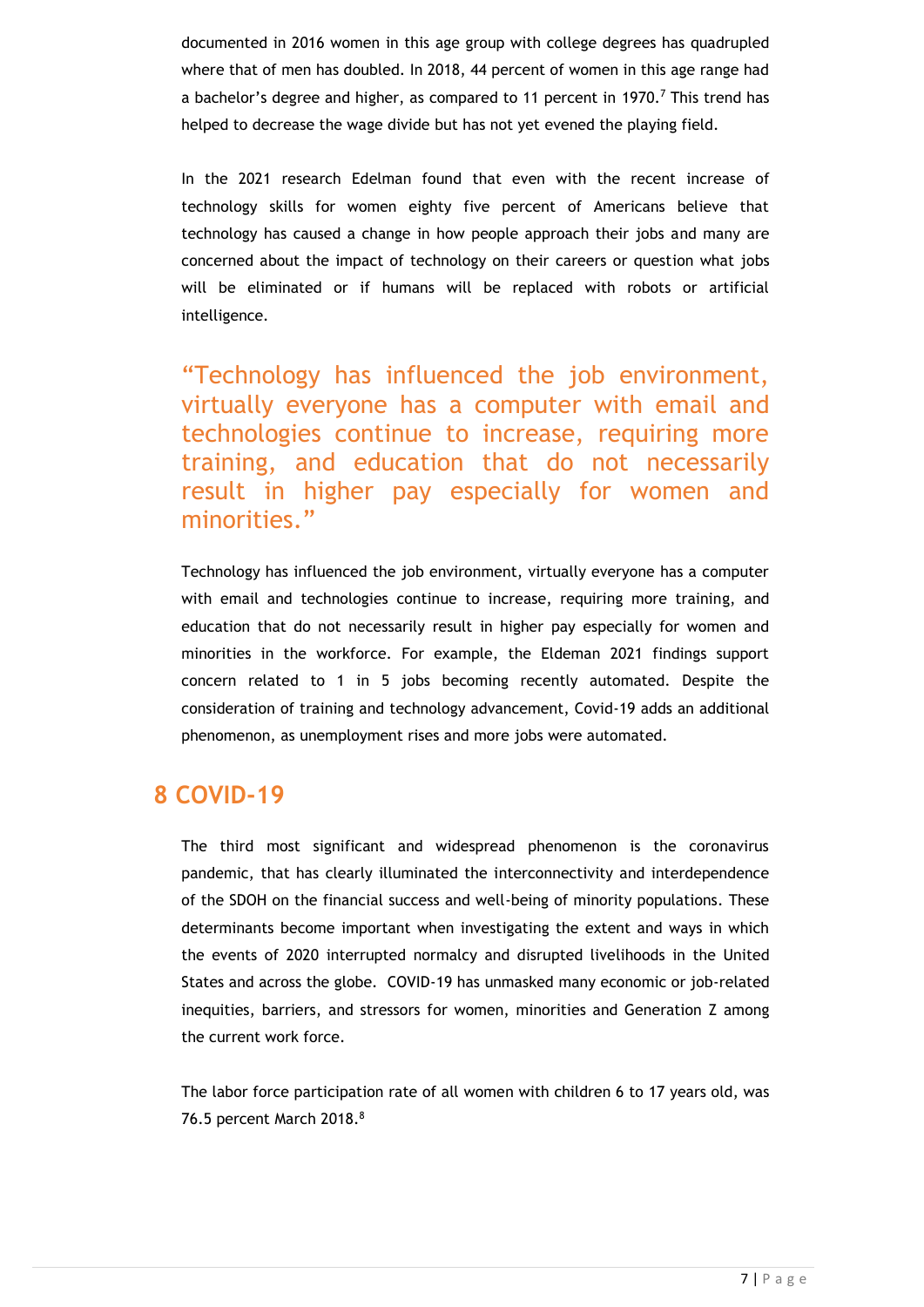documented in 2016 women in this age group with college degrees has quadrupled where that of men has doubled. In 2018, 44 percent of women in this age range had a bachelor's degree and higher, as compared to 11 percent in 1970.<sup>7</sup> This trend has helped to decrease the wage divide but has not yet evened the playing field.

In the 2021 research Edelman found that even with the recent increase of technology skills for women eighty five percent of Americans believe that technology has caused a change in how people approach their jobs and many are concerned about the impact of technology on their careers or question what jobs will be eliminated or if humans will be replaced with robots or artificial intelligence.

"Technology has influenced the job environment, virtually everyone has a computer with email and technologies continue to increase, requiring more training, and education that do not necessarily result in higher pay especially for women and minorities."

Technology has influenced the job environment, virtually everyone has a computer with email and technologies continue to increase, requiring more training, and education that do not necessarily result in higher pay especially for women and minorities in the workforce. For example, the Eldeman 2021 findings support concern related to 1 in 5 jobs becoming recently automated. Despite the consideration of training and technology advancement, Covid-19 adds an additional phenomenon, as unemployment rises and more jobs were automated.

#### **8 COVID-19**

The third most significant and widespread phenomenon is the coronavirus pandemic, that has clearly illuminated the interconnectivity and interdependence of the SDOH on the financial success and well-being of minority populations. These determinants become important when investigating the extent and ways in which the events of 2020 interrupted normalcy and disrupted livelihoods in the United States and across the globe. COVID-19 has unmasked many economic or job-related inequities, barriers, and stressors for women, minorities and Generation Z among the current work force.

The labor force participation rate of all women with children 6 to 17 years old, was 76.5 percent March 2018.<sup>8</sup>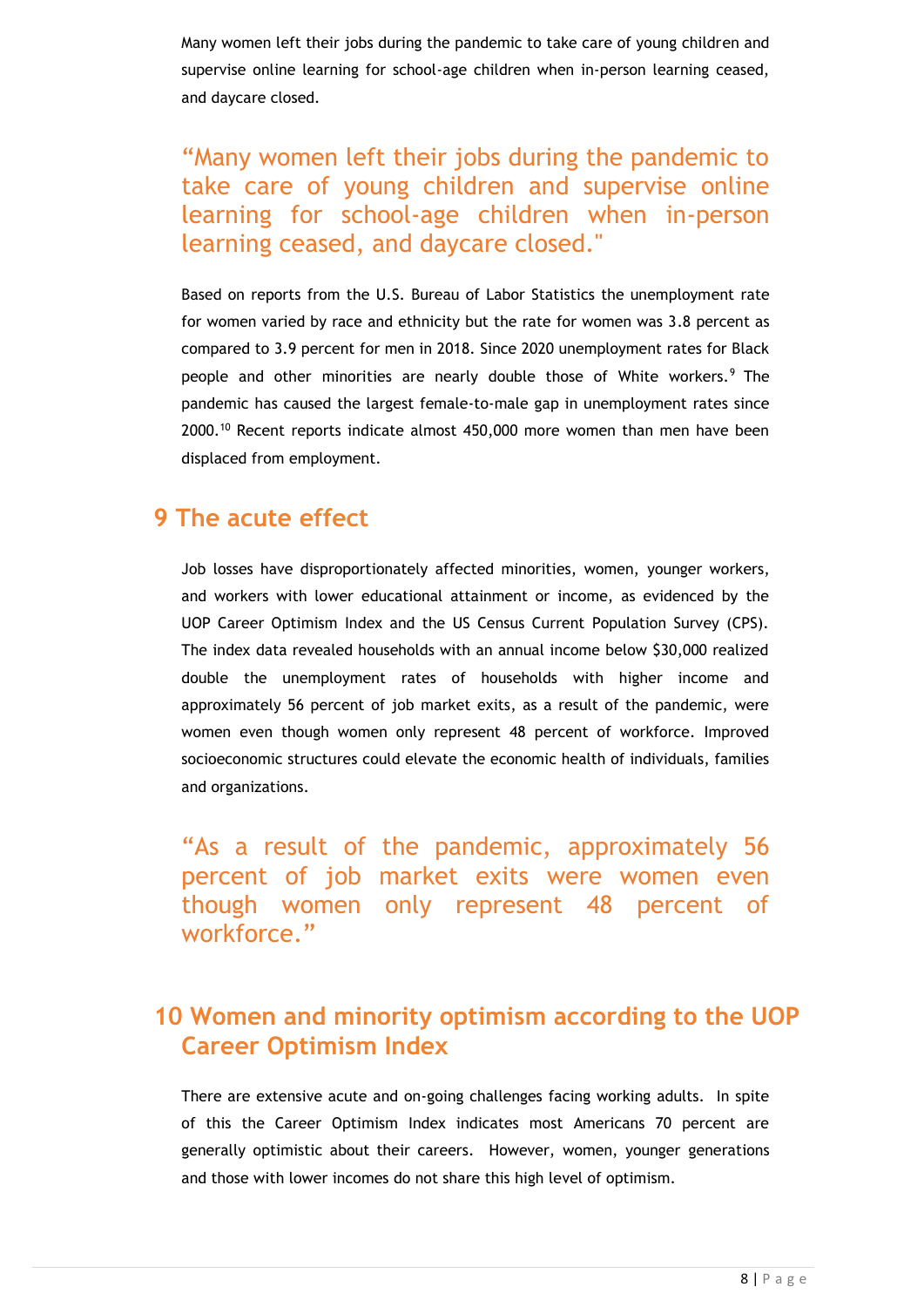Many women left their jobs during the pandemic to take care of young children and supervise online learning for school-age children when in-person learning ceased, and daycare closed.

"Many women left their jobs during the pandemic to take care of young children and supervise online learning for school-age children when in-person learning ceased, and daycare closed."

Based on reports from the U.S. Bureau of Labor Statistics the unemployment rate for women varied by race and ethnicity but the rate for women was 3.8 percent as compared to 3.9 percent for men in 2018. Since 2020 unemployment rates for Black people and other minorities are nearly double those of White workers.<sup>9</sup> The pandemic has caused the largest female-to-male gap in unemployment rates since 2000.<sup>10</sup> Recent reports indicate almost 450,000 more women than men have been displaced from employment.

#### **9 The acute effect**

Job losses have disproportionately affected minorities, women, younger workers, and workers with lower educational attainment or income, as evidenced by the UOP Career Optimism Index and the US Census Current Population Survey (CPS). The index data revealed households with an annual income below \$30,000 realized double the unemployment rates of households with higher income and approximately 56 percent of job market exits, as a result of the pandemic, were women even though women only represent 48 percent of workforce. Improved socioeconomic structures could elevate the economic health of individuals, families and organizations.

"As a result of the pandemic, approximately 56 percent of job market exits were women even though women only represent 48 percent of workforce."

# **10 Women and minority optimism according to the UOP Career Optimism Index**

There are extensive acute and on-going challenges facing working adults. In spite of this the Career Optimism Index indicates most Americans 70 percent are generally optimistic about their careers. However, women, younger generations and those with lower incomes do not share this high level of optimism.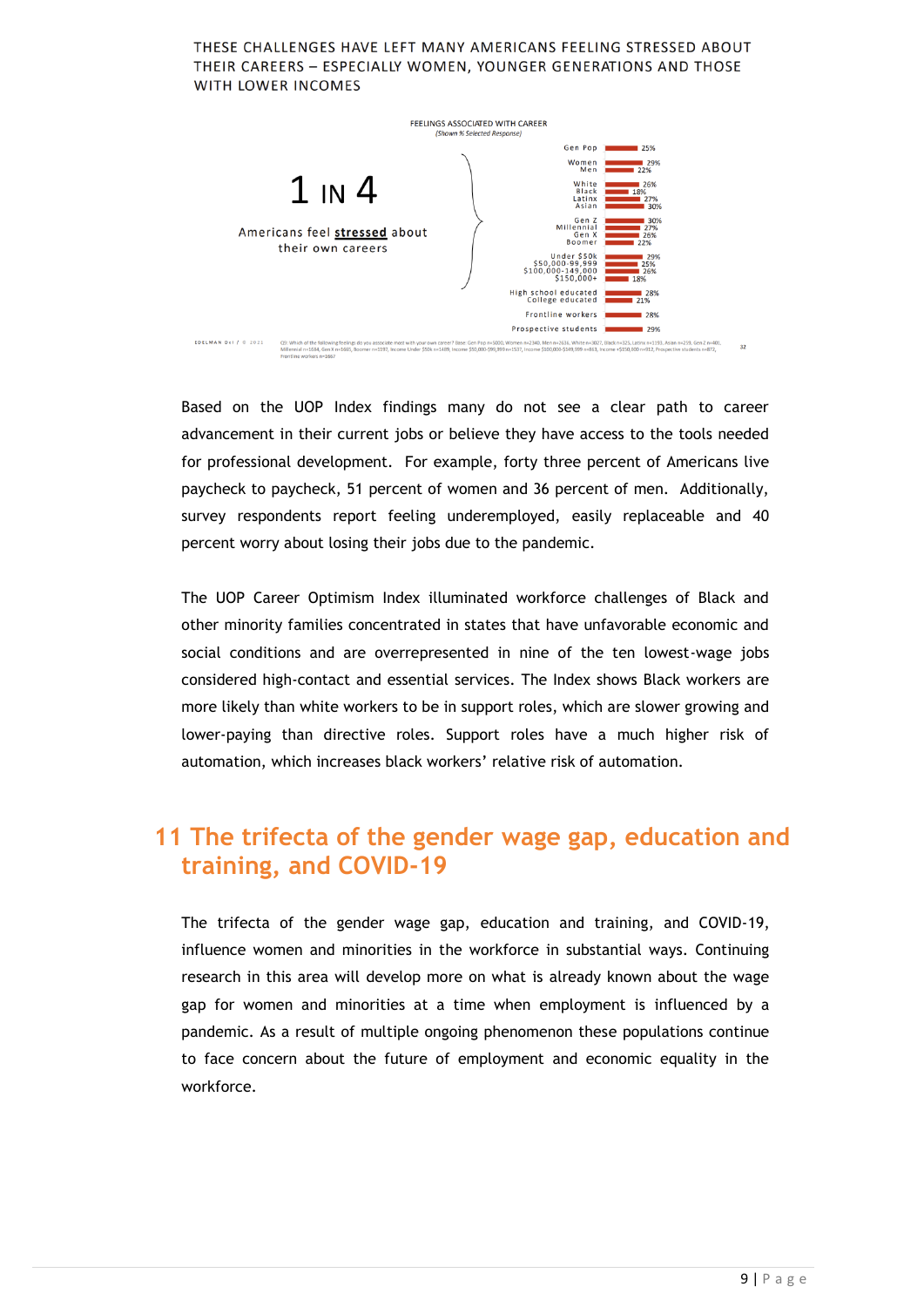#### THESE CHALLENGES HAVE LEFT MANY AMERICANS FEELING STRESSED ABOUT THEIR CAREERS - ESPECIALLY WOMEN, YOUNGER GENERATIONS AND THOSE WITH LOWER INCOMES



Based on the UOP Index findings many do not see a clear path to career advancement in their current jobs or believe they have access to the tools needed for professional development. For example, forty three percent of Americans live paycheck to paycheck, 51 percent of women and 36 percent of men. Additionally, survey respondents report feeling underemployed, easily replaceable and 40 percent worry about losing their jobs due to the pandemic.

The UOP Career Optimism Index illuminated workforce challenges of Black and other minority families concentrated in states that have unfavorable economic and social conditions and are overrepresented in nine of the ten lowest-wage jobs considered high-contact and essential services. The Index shows Black workers are more likely than white workers to be in support roles, which are slower growing and lower-paying than directive roles. Support roles have a much higher risk of automation, which increases black workers' relative risk of automation.

### **11 The trifecta of the gender wage gap, education and training, and COVID-19**

The trifecta of the gender wage gap, education and training, and COVID-19, influence women and minorities in the workforce in substantial ways. Continuing research in this area will develop more on what is already known about the wage gap for women and minorities at a time when employment is influenced by a pandemic. As a result of multiple ongoing phenomenon these populations continue to face concern about the future of employment and economic equality in the workforce.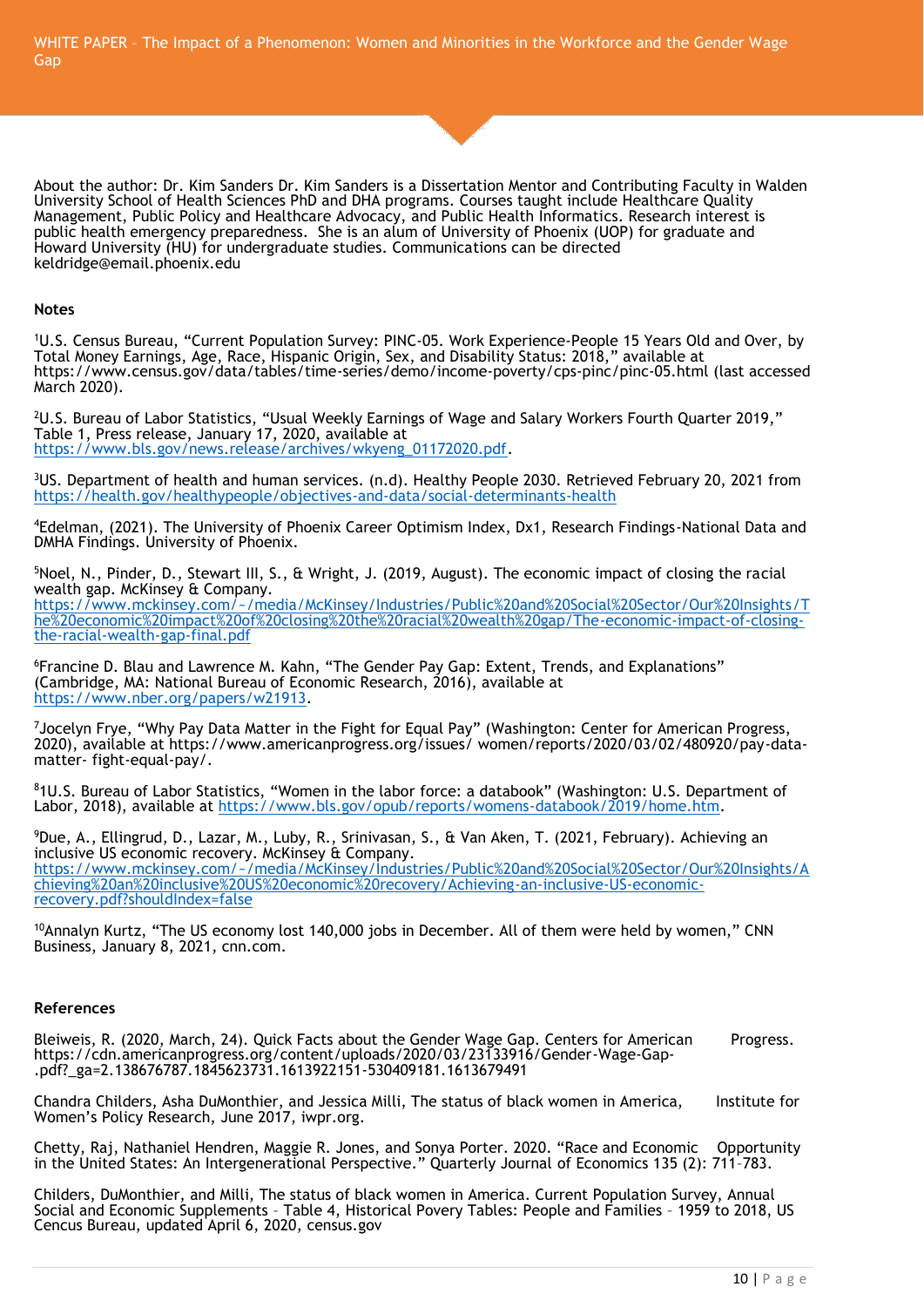WHITE PAPER – The Impact of a Phenomenon: Women and Minorities in the Workforce and the Gender Wage Gap

About the author: Dr. Kim Sanders Dr. Kim Sanders is a Dissertation Mentor and Contributing Faculty in Walden University School of Health Sciences PhD and DHA programs. Courses taught include Healthcare Quality Management, Public Policy and Healthcare Advocacy, and Public Health Informatics. Research interest is public health emergency preparedness. She is an alum of University of Phoenix (UOP) for graduate and Howard University (HU) for undergraduate studies. Communications can be directed keldridge@email.phoenix.edu

#### **Notes**

<sup>1</sup>U.S. Census Bureau, "Current Population Survey: PINC-05. Work Experience-People 15 Years Old and Over, by Total Money Earnings, Age, Race, Hispanic Origin, Sex, and Disability Status: 2018," available at https://www.census.gov/data/tables/time-series/demo/income-poverty/cps-pinc/pinc-05.html (last accessed March 2020).

<sup>2</sup>U.S. Bureau of Labor Statistics, "Usual Weekly Earnings of Wage and Salary Workers Fourth Quarter 2019," Table 1, Press release, January 17, 2020, available at [https://www.bls.gov/news.release/archives/wkyeng\\_01172020.pdf.](https://www.bls.gov/news.release/archives/wkyeng_01172020.pdf)

<sup>3</sup>US. Department of health and human services. (n.d). Healthy People 2030. Retrieved February 20, 2021 from <https://health.gov/healthypeople/objectives-and-data/social-determinants-health>

<sup>4</sup>Edelman, (2021). The University of Phoenix Career Optimism Index, Dx1, Research Findings-National Data and DMHA Findings. University of Phoenix.

<sup>5</sup>Noel, N., Pinder, D., Stewart III, S., & Wright, J. (2019, August). The economic impact of closing the racial wealth gap. McKinsey & Company. [https://www.mckinsey.com/~/media/McKinsey/Industries/Public%20and%20Social%20Sector/Our%20Insights/T](https://www.mckinsey.com/~/media/McKinsey/Industries/Public%20and%20Social%20Sector/Our%20Insights/The%20economic%20impact%20of%20closing%20the%20racial%20wealth%20gap/The-economic-impact-of-closing-the-racial-wealth-gap-final.pdf) [he%20economic%20impact%20of%20closing%20the%20racial%20wealth%20gap/The-economic-impact-of-closing](https://www.mckinsey.com/~/media/McKinsey/Industries/Public%20and%20Social%20Sector/Our%20Insights/The%20economic%20impact%20of%20closing%20the%20racial%20wealth%20gap/The-economic-impact-of-closing-the-racial-wealth-gap-final.pdf)[the-racial-wealth-gap-final.pdf](https://www.mckinsey.com/~/media/McKinsey/Industries/Public%20and%20Social%20Sector/Our%20Insights/The%20economic%20impact%20of%20closing%20the%20racial%20wealth%20gap/The-economic-impact-of-closing-the-racial-wealth-gap-final.pdf)

<sup>6</sup>Francine D. Blau and Lawrence M. Kahn, "The Gender Pay Gap: Extent, Trends, and Explanations" (Cambridge, MA: National Bureau of Economic Research, 2016), available at [https://www.nber.org/papers/w21913.](https://www.nber.org/papers/w21913)

<sup>7</sup>Jocelyn Frye, "Why Pay Data Matter in the Fight for Equal Pay" (Washington: Center for American Progress, 2020), available at https://www.americanprogress.org/issues/ women/reports/2020/03/02/480920/pay-datamatter- fight-equal-pay/.

<sup>8</sup>1U.S. Bureau of Labor Statistics, "Women in the labor force: a databook" (Washington: U.S. Department of Labor, 2018), available at [https://www.bls.gov/opub/reports/womens-databook/2019/home.htm.](https://www.bls.gov/opub/reports/womens-databook/2019/home.htm)

<sup>9</sup>Due, A., Ellingrud, D., Lazar, M., Luby, R., Srinivasan, S., & Van Aken, T. (2021, February). Achieving an inclusive US economic recovery. McKinsey & Company. [https://www.mckinsey.com/~/media/McKinsey/Industries/Public%20and%20Social%20Sector/Our%20Insights/A](https://www.mckinsey.com/~/media/McKinsey/Industries/Public%20and%20Social%20Sector/Our%20Insights/Achieving%20an%20inclusive%20US%20economic%20recovery/Achieving-an-inclusive-US-economic-recovery.pdf?shouldIndex=false) [chieving%20an%20inclusive%20US%20economic%20recovery/Achieving-an-inclusive-US-economic](https://www.mckinsey.com/~/media/McKinsey/Industries/Public%20and%20Social%20Sector/Our%20Insights/Achieving%20an%20inclusive%20US%20economic%20recovery/Achieving-an-inclusive-US-economic-recovery.pdf?shouldIndex=false)[recovery.pdf?shouldIndex=false](https://www.mckinsey.com/~/media/McKinsey/Industries/Public%20and%20Social%20Sector/Our%20Insights/Achieving%20an%20inclusive%20US%20economic%20recovery/Achieving-an-inclusive-US-economic-recovery.pdf?shouldIndex=false)

 $10A$ nnalyn Kurtz, "The US economy lost 140,000 jobs in December. All of them were held by women," CNN Business, January 8, 2021, cnn.com.

#### **References**

Bleiweis, R. (2020, March, 24). Quick Facts about the Gender Wage Gap. Centers for American Progress. https://cdn.americanprogress.org/content/uploads/2020/03/23133916/Gender-Wage-Gap- .pdf?\_ga=2.138676787.1845623731.1613922151-530409181.1613679491

Chandra Childers, Asha DuMonthier, and Jessica Milli, The status of black women in America, Institute for Women's Policy Research, June 2017, iwpr.org.

Chetty, Raj, Nathaniel Hendren, Maggie R. Jones, and Sonya Porter. 2020. "Race and Economic Opportunity in the United States: An Intergenerational Perspective." Quarterly Journal of Economics 135 (2): 711–783.

Childers, DuMonthier, and Milli, The status of black women in America. Current Population Survey, Annual Social and Economic Supplements – Table 4, Historical Povery Tables: People and Families – 1959 to 2018, US Cencus Bureau, updated April 6, 2020, census.gov